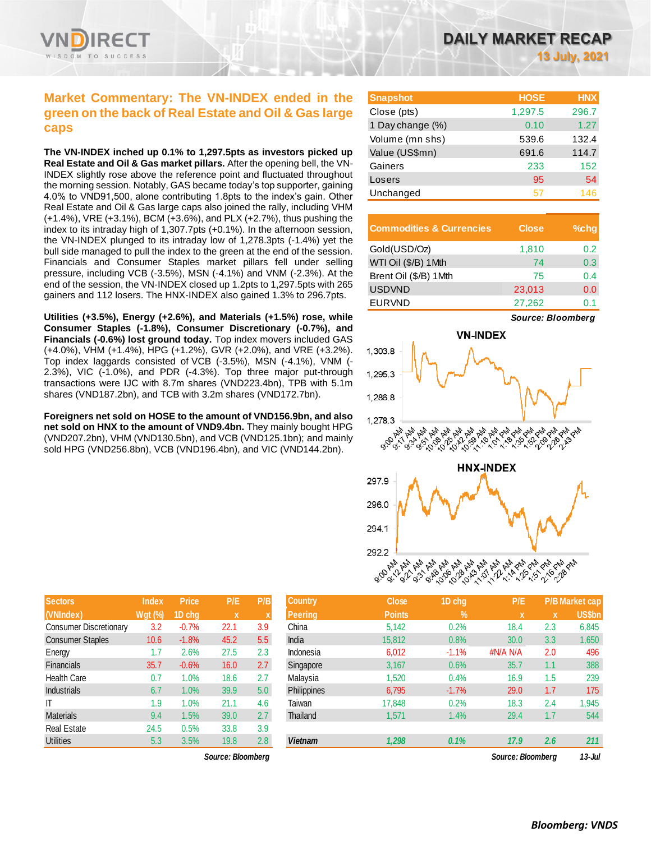

## **Market Commentary: The VN-INDEX ended in the green on the back of Real Estate and Oil & Gas large caps**

**The VN-INDEX inched up 0.1% to 1,297.5pts as investors picked up Real Estate and Oil & Gas market pillars.** After the opening bell, the VN-INDEX slightly rose above the reference point and fluctuated throughout the morning session. Notably, GAS became today's top supporter, gaining 4.0% to VND91,500, alone contributing 1.8pts to the index's gain. Other Real Estate and Oil & Gas large caps also joined the rally, including VHM (+1.4%), VRE (+3.1%), BCM (+3.6%), and PLX (+2.7%), thus pushing the index to its intraday high of 1,307.7pts (+0.1%). In the afternoon session, the VN-INDEX plunged to its intraday low of 1,278.3pts (-1.4%) yet the bull side managed to pull the index to the green at the end of the session. Financials and Consumer Staples market pillars fell under selling pressure, including VCB (-3.5%), MSN (-4.1%) and VNM (-2.3%). At the end of the session, the VN-INDEX closed up 1.2pts to 1,297.5pts with 265 gainers and 112 losers. The HNX-INDEX also gained 1.3% to 296.7pts.

**Utilities (+3.5%), Energy (+2.6%), and Materials (+1.5%) rose, while Consumer Staples (-1.8%), Consumer Discretionary (-0.7%), and Financials (-0.6%) lost ground today.** Top index movers included GAS (+4.0%), VHM (+1.4%), HPG (+1.2%), GVR (+2.0%), and VRE (+3.2%). Top index laggards consisted of VCB (-3.5%), MSN (-4.1%), VNM (- 2.3%), VIC (-1.0%), and PDR (-4.3%). Top three major put-through transactions were IJC with 8.7m shares (VND223.4bn), TPB with 5.1m shares (VND187.2bn), and TCB with 3.2m shares (VND172.7bn).

**Foreigners net sold on HOSE to the amount of VND156.9bn, and also net sold on HNX to the amount of VND9.4bn.** They mainly bought HPG (VND207.2bn), VHM (VND130.5bn), and VCB (VND125.1bn); and mainly sold HPG (VND256.8bn), VCB (VND196.4bn), and VIC (VND144.2bn).

| DAILY MARKET RECAP |  |                      |
|--------------------|--|----------------------|
|                    |  | <b>13 July, 2021</b> |

| <b>Snapshot</b>  | <b>HOSE</b> | <b>HNX</b> |
|------------------|-------------|------------|
| Close (pts)      | 1,297.5     | 296.7      |
| 1 Day change (%) | 0.10        | 1.27       |
| Volume (mn shs)  | 539.6       | 132.4      |
| Value (US\$mn)   | 691.6       | 114.7      |
| Gainers          | 233         | 152        |
| Losers           | 95          | 54         |
| Unchanged        | 57          | 146        |

| <b>Commodities &amp; Currencies</b> | <b>Close</b> | $%$ chq |
|-------------------------------------|--------------|---------|
| Gold(USD/Oz)                        | 1,810        | 0.2     |
| WTI Oil (\$/B) 1Mth                 | 74           | 0.3     |
| Brent Oil (\$/B) 1Mth               | 75           | 0.4     |
| <b>USDVND</b>                       | 23,013       | 0.0     |
| <b>EURVND</b>                       | 27,262       | ი 1     |

*Source: Bloomberg*



| 292.2 L |  |
|---------|--|
|         |  |
|         |  |
|         |  |

**Sectors Index Price P/E P/B Country Close 1D chg P/E P/B Market cap**

| <b>Sectors</b>          | <b>Index</b>   | <b>Price</b> | P/E          | P/B           | <b>Country</b>     | <b>Close</b>  | 1D chg     | P/E      |     | <b>P/B Market cap</b> |
|-------------------------|----------------|--------------|--------------|---------------|--------------------|---------------|------------|----------|-----|-----------------------|
| (VNIndex)               | <b>Wgt (%)</b> | 1D chq       | $\mathbf{x}$ |               | <b>Peering</b>     | <b>Points</b> | $\sqrt{2}$ | X        | X   | US\$bn                |
| Consumer Discretionary  | 3.2            | $-0.7%$      | 22.1         | 3.9           | China              | 5,142         | 0.2%       | 18.4     | 2.3 | 6,845                 |
| <b>Consumer Staples</b> | 10.6           | $-1.8%$      | 45.2         | 5.5           | India              | 15,812        | 0.8%       | 30.0     | 3.3 | 1,650                 |
| Energy                  | 1.7            | 2.6%         | 27.5         | 2.3           | Indonesia          | 6,012         | $-1.1%$    | #N/A N/A | 2.0 | 496                   |
| <b>Financials</b>       | 35.7           | $-0.6%$      | 16.0         | 2.7           | Singapore          | 3,167         | 0.6%       | 35.7     | 1.1 | 388                   |
| <b>Health Care</b>      | 0.7            | 1.0%         | 18.6         | 2.7           | Malaysia           | 1,520         | 0.4%       | 16.9     | 1.5 | 239                   |
| <b>Industrials</b>      | 6.7            | 1.0%         | 39.9         | 5.0           | <b>Philippines</b> | 6,795         | $-1.7%$    | 29.0     | 1.7 | 175                   |
| $\mathsf{I}$            | 1.9            | .0%          | 21.1         | 4.6           | Taiwan             | 17,848        | 0.2%       | 18.3     | 2.4 | 1,945                 |
| <b>Materials</b>        | 9.4            | 1.5%         | 39.0         | $2.7^{\circ}$ | Thailand           | 1,571         | 1.4%       | 29.4     | 1.7 | 544                   |
| <b>Real Estate</b>      | 24.5           | 0.5%         | 33.8         | 3.9           |                    |               |            |          |     |                       |
| Utilities               | 5.3            | 3.5%         | 19.8         | 2.8           | <b>Vietnam</b>     | 1,298         | 0.1%       | 17.9     | 2.6 | 211                   |

*Source: Bloomberg Source: Bloomberg 13-Jul*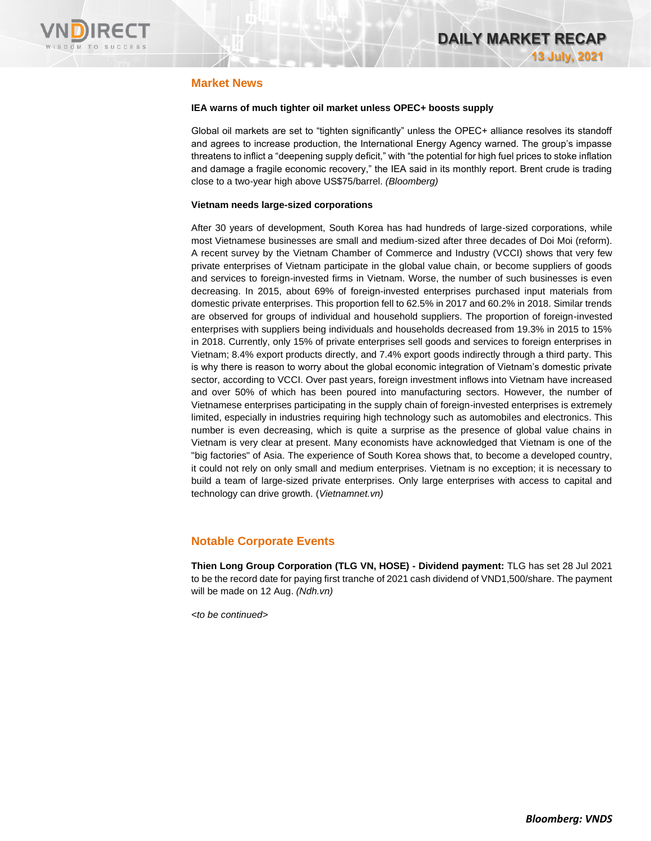

### **Market News**

#### **IEA warns of much tighter oil market unless OPEC+ boosts supply**

Global oil markets are set to "tighten significantly" unless the OPEC+ alliance resolves its standoff and agrees to increase production, the International Energy Agency warned. The group's impasse threatens to inflict a "deepening supply deficit," with "the potential for high fuel prices to stoke inflation and damage a fragile economic recovery," the IEA said in its monthly report. Brent crude is trading close to a two-year high above US\$75/barrel. *(Bloomberg)*

#### **Vietnam needs large-sized corporations**

After 30 years of development, South Korea has had hundreds of large-sized corporations, while most Vietnamese businesses are small and medium-sized after three decades of Doi Moi (reform). A recent survey by the Vietnam Chamber of Commerce and Industry (VCCI) shows that very few private enterprises of Vietnam participate in the global value chain, or become suppliers of goods and services to foreign-invested firms in Vietnam. Worse, the number of such businesses is even decreasing. In 2015, about 69% of foreign-invested enterprises purchased input materials from domestic private enterprises. This proportion fell to 62.5% in 2017 and 60.2% in 2018. Similar trends are observed for groups of individual and household suppliers. The proportion of foreign-invested enterprises with suppliers being individuals and households decreased from 19.3% in 2015 to 15% in 2018. Currently, only 15% of private enterprises sell goods and services to foreign enterprises in Vietnam; 8.4% export products directly, and 7.4% export goods indirectly through a third party. This is why there is reason to worry about the global economic integration of Vietnam's domestic private sector, according to VCCI. Over past years, foreign investment inflows into Vietnam have increased and over 50% of which has been poured into manufacturing sectors. However, the number of Vietnamese enterprises participating in the supply chain of foreign-invested enterprises is extremely limited, especially in industries requiring high technology such as automobiles and electronics. This number is even decreasing, which is quite a surprise as the presence of global value chains in Vietnam is very clear at present. Many economists have acknowledged that Vietnam is one of the "big factories" of Asia. The experience of South Korea shows that, to become a developed country, it could not rely on only small and medium enterprises. Vietnam is no exception; it is necessary to build a team of large-sized private enterprises. Only large enterprises with access to capital and technology can drive growth. (*Vietnamnet.vn)*

### **Notable Corporate Events**

**Thien Long Group Corporation (TLG VN, HOSE) - Dividend payment:** TLG has set 28 Jul 2021 to be the record date for paying first tranche of 2021 cash dividend of VND1,500/share. The payment will be made on 12 Aug. *(Ndh.vn)*

*<to be continued>*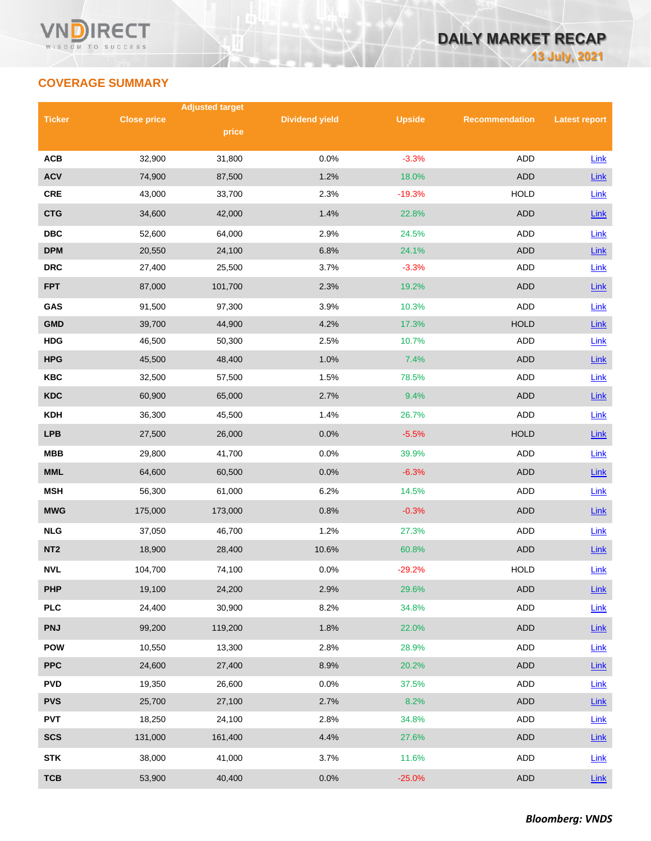# **COVERAGE SUMMARY**

|                 |                    | <b>Adjusted target</b> |                       |               |                       |                      |
|-----------------|--------------------|------------------------|-----------------------|---------------|-----------------------|----------------------|
| <b>Ticker</b>   | <b>Close price</b> | price                  | <b>Dividend yield</b> | <b>Upside</b> | <b>Recommendation</b> | <b>Latest report</b> |
|                 |                    |                        |                       |               |                       |                      |
| <b>ACB</b>      | 32,900             | 31,800                 | 0.0%                  | $-3.3%$       | <b>ADD</b>            | Link                 |
| <b>ACV</b>      | 74,900             | 87,500                 | 1.2%                  | 18.0%         | <b>ADD</b>            | Link                 |
| <b>CRE</b>      | 43,000             | 33,700                 | 2.3%                  | $-19.3%$      | <b>HOLD</b>           | Link                 |
| <b>CTG</b>      | 34,600             | 42,000                 | 1.4%                  | 22.8%         | <b>ADD</b>            | Link                 |
| <b>DBC</b>      | 52,600             | 64,000                 | 2.9%                  | 24.5%         | ADD                   | Link                 |
| <b>DPM</b>      | 20,550             | 24,100                 | 6.8%                  | 24.1%         | <b>ADD</b>            | Link                 |
| <b>DRC</b>      | 27,400             | 25,500                 | 3.7%                  | $-3.3%$       | <b>ADD</b>            | Link                 |
| <b>FPT</b>      | 87,000             | 101,700                | 2.3%                  | 19.2%         | <b>ADD</b>            | Link                 |
| GAS             | 91,500             | 97,300                 | 3.9%                  | 10.3%         | <b>ADD</b>            | Link                 |
| <b>GMD</b>      | 39,700             | 44,900                 | 4.2%                  | 17.3%         | <b>HOLD</b>           | Link                 |
| <b>HDG</b>      | 46,500             | 50,300                 | 2.5%                  | 10.7%         | ADD                   | Link                 |
| <b>HPG</b>      | 45,500             | 48,400                 | 1.0%                  | 7.4%          | <b>ADD</b>            | Link                 |
| <b>KBC</b>      | 32,500             | 57,500                 | 1.5%                  | 78.5%         | ADD                   | Link                 |
| <b>KDC</b>      | 60,900             | 65,000                 | 2.7%                  | 9.4%          | <b>ADD</b>            | Link                 |
| <b>KDH</b>      | 36,300             | 45,500                 | 1.4%                  | 26.7%         | ADD                   | Link                 |
| <b>LPB</b>      | 27,500             | 26,000                 | 0.0%                  | $-5.5%$       | <b>HOLD</b>           | Link                 |
| <b>MBB</b>      | 29,800             | 41,700                 | 0.0%                  | 39.9%         | ADD                   | Link                 |
| <b>MML</b>      | 64,600             | 60,500                 | 0.0%                  | $-6.3%$       | <b>ADD</b>            | Link                 |
| <b>MSH</b>      | 56,300             | 61,000                 | 6.2%                  | 14.5%         | ADD                   | Link                 |
| <b>MWG</b>      | 175,000            | 173,000                | 0.8%                  | $-0.3%$       | <b>ADD</b>            | Link                 |
| <b>NLG</b>      | 37,050             | 46,700                 | 1.2%                  | 27.3%         | ADD                   | Link                 |
| NT <sub>2</sub> | 18,900             | 28,400                 | 10.6%                 | 60.8%         | <b>ADD</b>            | Link                 |
| <b>NVL</b>      | 104,700            | 74,100                 | 0.0%                  | $-29.2%$      | <b>HOLD</b>           | Link                 |
| <b>PHP</b>      | 19,100             | 24,200                 | 2.9%                  | 29.6%         | ADD                   | Link                 |
| <b>PLC</b>      | 24,400             | 30,900                 | 8.2%                  | 34.8%         | ADD                   | Link                 |
| <b>PNJ</b>      | 99,200             | 119,200                | 1.8%                  | 22.0%         | ADD                   | Link                 |
| <b>POW</b>      | 10,550             | 13,300                 | 2.8%                  | 28.9%         | ADD                   | Link                 |
| <b>PPC</b>      | 24,600             | 27,400                 | 8.9%                  | 20.2%         | ADD                   | Link                 |
| <b>PVD</b>      | 19,350             | 26,600                 | 0.0%                  | 37.5%         | ADD                   | <b>Link</b>          |
| <b>PVS</b>      | 25,700             | 27,100                 | 2.7%                  | 8.2%          | <b>ADD</b>            | $Link$               |
| <b>PVT</b>      | 18,250             | 24,100                 | 2.8%                  | 34.8%         | ADD                   | Link                 |
| <b>SCS</b>      | 131,000            | 161,400                | 4.4%                  | 27.6%         | ADD                   | $Link$               |
| <b>STK</b>      | 38,000             | 41,000                 | 3.7%                  | 11.6%         | ADD                   | Link                 |
| <b>TCB</b>      | 53,900             | 40,400                 | 0.0%                  | $-25.0%$      | <b>ADD</b>            | <b>Link</b>          |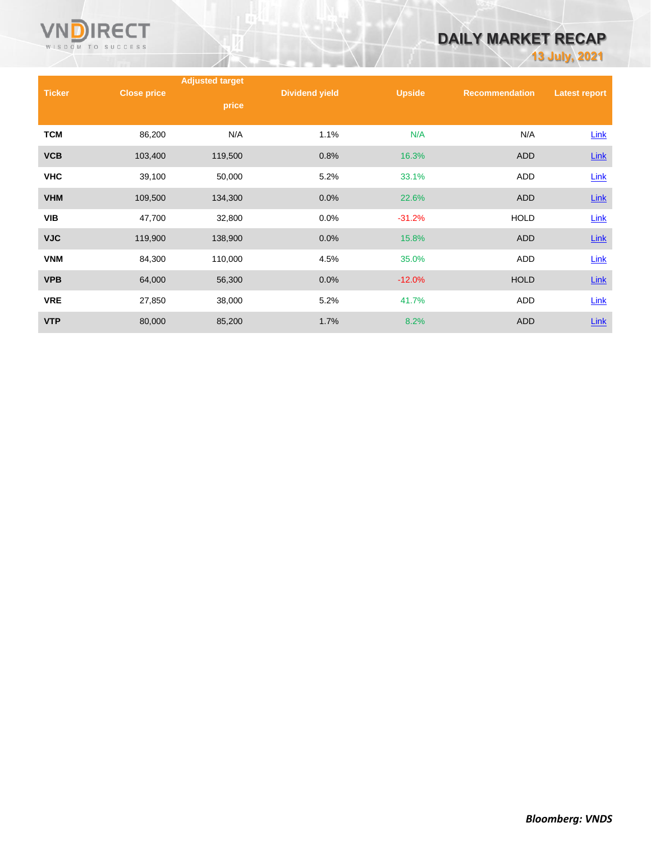

# **DAILY MARKET RECAP**

**13 July, 2021**

|               |                    | <b>Adjusted target</b> |                       |               |                       |                      |
|---------------|--------------------|------------------------|-----------------------|---------------|-----------------------|----------------------|
| <b>Ticker</b> | <b>Close price</b> | price                  | <b>Dividend yield</b> | <b>Upside</b> | <b>Recommendation</b> | <b>Latest report</b> |
| <b>TCM</b>    | 86,200             | N/A                    | 1.1%                  | N/A           | N/A                   | Link                 |
| <b>VCB</b>    | 103,400            | 119,500                | 0.8%                  | 16.3%         | <b>ADD</b>            | $Link$               |
| <b>VHC</b>    | 39,100             | 50,000                 | 5.2%                  | 33.1%         | <b>ADD</b>            | <b>Link</b>          |
| <b>VHM</b>    | 109,500            | 134,300                | 0.0%                  | 22.6%         | ADD                   | <b>Link</b>          |
| <b>VIB</b>    | 47,700             | 32,800                 | 0.0%                  | $-31.2%$      | <b>HOLD</b>           | Link                 |
| <b>VJC</b>    | 119,900            | 138,900                | 0.0%                  | 15.8%         | <b>ADD</b>            | $Link$               |
| <b>VNM</b>    | 84,300             | 110,000                | 4.5%                  | 35.0%         | <b>ADD</b>            | Link                 |
| <b>VPB</b>    | 64,000             | 56,300                 | 0.0%                  | $-12.0%$      | <b>HOLD</b>           | $Link$               |
| <b>VRE</b>    | 27,850             | 38,000                 | 5.2%                  | 41.7%         | ADD                   | Link                 |
| <b>VTP</b>    | 80,000             | 85,200                 | 1.7%                  | 8.2%          | <b>ADD</b>            | Link                 |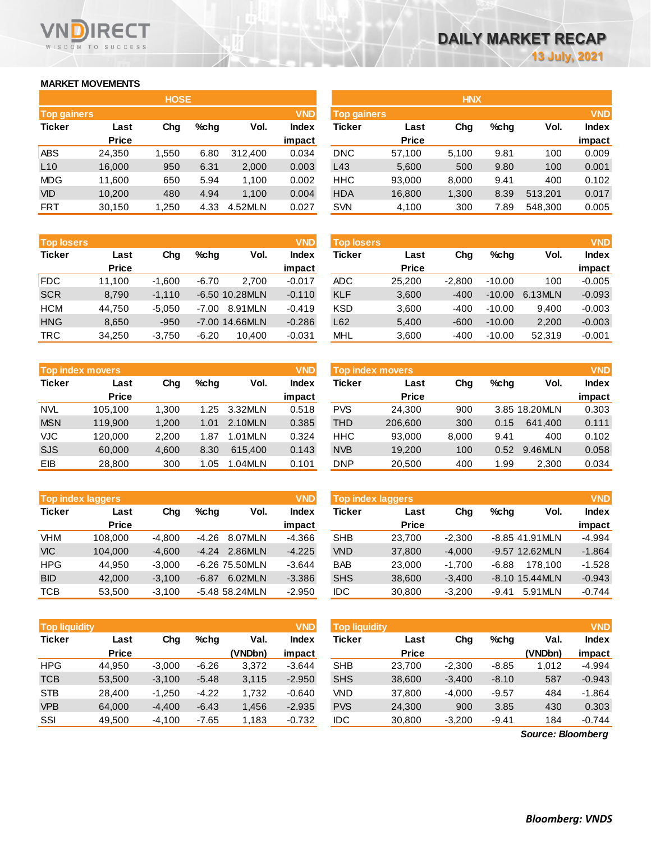### **MARKET MOVEMENTS**

WISDOM TO SUCCESS

**RECT** 

| <b>HOSE</b>        |              |       |      |         |              |  |  |
|--------------------|--------------|-------|------|---------|--------------|--|--|
| <b>Top gainers</b> |              |       |      |         | <b>VND</b>   |  |  |
| <b>Ticker</b>      | Last         | Cha   | %chq | Vol.    | <b>Index</b> |  |  |
|                    | <b>Price</b> |       |      |         | impact       |  |  |
| ABS                | 24,350       | 1,550 | 6.80 | 312,400 | 0.034        |  |  |
| L10                | 16,000       | 950   | 6.31 | 2,000   | 0.003        |  |  |
| <b>MDG</b>         | 11,600       | 650   | 5.94 | 1,100   | 0.002        |  |  |
| <b>VID</b>         | 10,200       | 480   | 4.94 | 1,100   | 0.004        |  |  |
| <b>FRT</b>         | 30,150       | 1,250 | 4.33 | 4.52MLN | 0.027        |  |  |

| <b>Top losers</b> |              |          |         |                | <b>VND</b>   |
|-------------------|--------------|----------|---------|----------------|--------------|
| <b>Ticker</b>     | Last         | Cha      | %chq    | Vol.           | <b>Index</b> |
|                   | <b>Price</b> |          |         |                | impact       |
| <b>FDC</b>        | 11,100       | $-1,600$ | $-6.70$ | 2.700          | $-0.017$     |
| <b>SCR</b>        | 8,790        | $-1,110$ |         | -6.50 10.28MLN | $-0.110$     |
| HCM               | 44,750       | $-5,050$ | -7.00   | 8.91MLN        | $-0.419$     |
| <b>HNG</b>        | 8,650        | $-950$   |         | -7.00 14.66MLN | $-0.286$     |
| <b>TRC</b>        | 34,250       | $-3,750$ | $-6.20$ | 10,400         | $-0.031$     |

| <b>Top index movers</b> |              |       |      |         |              |  |
|-------------------------|--------------|-------|------|---------|--------------|--|
| <b>Ticker</b>           | Last         | Cha   | %chq | Vol.    | <b>Index</b> |  |
|                         | <b>Price</b> |       |      |         | impact       |  |
| NVL.                    | 105,100      | 1.300 | 1.25 | 3.32MLN | 0.518        |  |
| <b>MSN</b>              | 119,900      | 1,200 | 1.01 | 2.10MLN | 0.385        |  |
| <b>VJC</b>              | 120,000      | 2,200 | 1.87 | 1.01MLN | 0.324        |  |
| <b>SJS</b>              | 60,000       | 4,600 | 8.30 | 615.400 | 0.143        |  |
| EIB                     | 28,800       | 300   | 1.05 | 1.04MLN | 0.101        |  |

| <b>Top index laggers</b> |              |          |         |                |              |  |
|--------------------------|--------------|----------|---------|----------------|--------------|--|
| <b>Ticker</b>            | Last         | Cha      | $%$ chq | Vol.           | <b>Index</b> |  |
|                          | <b>Price</b> |          |         |                | impact       |  |
| <b>VHM</b>               | 108,000      | $-4.800$ | $-4.26$ | 8.07MLN        | $-4.366$     |  |
| <b>VIC</b>               | 104.000      | $-4.600$ | $-4.24$ | 2.86MLN        | $-4.225$     |  |
| <b>HPG</b>               | 44.950       | $-3,000$ |         | -6.26 75.50MLN | $-3.644$     |  |
| <b>BID</b>               | 42,000       | $-3,100$ | $-6.87$ | 6.02MLN        | $-3.386$     |  |
| <b>TCB</b>               | 53.500       | $-3.100$ |         | -5.48 58.24MLN | $-2.950$     |  |

| <b>Top liquidity</b> |              |          |         |         | <b>VND</b>   |
|----------------------|--------------|----------|---------|---------|--------------|
| <b>Ticker</b>        | Last         | Cha      | %chq    | Val.    | <b>Index</b> |
|                      | <b>Price</b> |          |         | (VNDbn) | impact       |
| <b>HPG</b>           | 44,950       | $-3,000$ | $-6.26$ | 3,372   | $-3.644$     |
| <b>TCB</b>           | 53,500       | $-3,100$ | $-5.48$ | 3,115   | $-2.950$     |
| <b>STB</b>           | 28,400       | $-1,250$ | $-4.22$ | 1,732   | $-0.640$     |
| <b>VPB</b>           | 64,000       | $-4,400$ | $-6.43$ | 1,456   | $-2.935$     |
| SSI                  | 49.500       | $-4.100$ | $-7.65$ | 1,183   | $-0.732$     |

|                    |              | <b>HOSE</b> |         |         |              |                    |              | <b>HNX</b> |      |         |              |
|--------------------|--------------|-------------|---------|---------|--------------|--------------------|--------------|------------|------|---------|--------------|
| <b>Top gainers</b> |              |             |         |         | <b>VND</b>   | <b>Top gainers</b> |              |            |      |         | <b>VND</b>   |
| Ticker             | Last         | Chg         | $%$ chq | Vol.    | <b>Index</b> | Ticker             | Last         | Chg        | %chq | Vol.    | <b>Index</b> |
|                    | <b>Price</b> |             |         |         | impact       |                    | <b>Price</b> |            |      |         | impact       |
| ABS                | 24,350       | 1,550       | 6.80    | 312,400 | 0.034        | <b>DNC</b>         | 57,100       | 5.100      | 9.81 | 100     | 0.009        |
| L10                | 16,000       | 950         | 6.31    | 2,000   | 0.003        | L43                | 5,600        | 500        | 9.80 | 100     | 0.001        |
| MDG                | 11,600       | 650         | 5.94    | 1,100   | 0.002        | <b>HHC</b>         | 93,000       | 8,000      | 9.41 | 400     | 0.102        |
| VID                | 10,200       | 480         | 4.94    | 1,100   | 0.004        | <b>HDA</b>         | 16,800       | 1,300      | 8.39 | 513,201 | 0.017        |
| FRT                | 30,150       | 1,250       | 4.33    | 4.52MLN | 0.027        | <b>SVN</b>         | 4,100        | 300        | 7.89 | 548,300 | 0.005        |

| <b>Top losers</b> |              |          |         |                  | <b>VND</b>   | <b>Top losers</b> |              |          |          |         | <b>VND</b>   |
|-------------------|--------------|----------|---------|------------------|--------------|-------------------|--------------|----------|----------|---------|--------------|
| Ticker            | Last         | Chg      | $%$ chq | Vol.             | <b>Index</b> | Ticker            | Last         | Chg      | %chq     | Vol.    | <b>Index</b> |
|                   | <b>Price</b> |          |         |                  | impact       |                   | <b>Price</b> |          |          |         | impact       |
| <b>FDC</b>        | 11.100       | $-1.600$ | $-6.70$ | 2.700            | $-0.017$     | <b>ADC</b>        | 25.200       | $-2.800$ | $-10.00$ | 100     | $-0.005$     |
| <b>SCR</b>        | 8,790        | $-1,110$ |         | -6.50 10.28MLN   | $-0.110$     | <b>KLF</b>        | 3,600        | $-400$   | $-10.00$ | 6.13MLN | $-0.093$     |
| нсм               | 44.750       | $-5.050$ | $-7.00$ | 8.91MLN          | $-0.419$     | <b>KSD</b>        | 3,600        | $-400$   | $-10.00$ | 9.400   | $-0.003$     |
| HNG               | 8,650        | $-950$   |         | $-7.00$ 14.66MLN | $-0.286$     | L62               | 5,400        | $-600$   | $-10.00$ | 2,200   | $-0.003$     |
| TRC               | 34,250       | $-3,750$ | $-6.20$ | 10,400           | $-0.031$     | <b>MHL</b>        | 3,600        | $-400$   | $-10.00$ | 52,319  | $-0.001$     |
|                   |              |          |         |                  |              |                   |              |          |          |         |              |

|            | <b>Top index movers</b> |       |         |         | <b>VND</b>   |            | Top index movers |       |         |               | <b>VND</b>   |
|------------|-------------------------|-------|---------|---------|--------------|------------|------------------|-------|---------|---------------|--------------|
| Ticker     | Last                    | Chg   | $%$ chq | Vol.    | <b>Index</b> | Ticker     | Last             | Chg   | $%$ chq | Vol.          | <b>Index</b> |
|            | <b>Price</b>            |       |         |         | impact       |            | <b>Price</b>     |       |         |               | impact       |
| NVL        | 105.100                 | 1.300 | 1.25    | 3.32MLN | 0.518        | <b>PVS</b> | 24.300           | 900   |         | 3.85 18.20MLN | 0.303        |
| <b>MSN</b> | 119,900                 | 1,200 | 1.01    | 2.10MLN | 0.385        | THD        | 206,600          | 300   | 0.15    | 641.400       | 0.111        |
| <b>VJC</b> | 120,000                 | 2.200 | 1.87    | 1.01MLN | 0.324        | <b>HHC</b> | 93,000           | 8.000 | 9.41    | 400           | 0.102        |
| SJS        | 60,000                  | 4.600 | 8.30    | 615.400 | 0.143        | <b>NVB</b> | 19.200           | 100   | 0.52    | 9.46MLN       | 0.058        |
| EIB        | 28,800                  | 300   | 1.05    | 1.04MLN | 0.101        | <b>DNP</b> | 20,500           | 400   | 1.99    | 2,300         | 0.034        |

| <b>Top index laggers</b> |              |          |         |                  | <b>VND</b> | <b>Top index laggers</b> |              |          |         |                  | <b>VND</b>   |
|--------------------------|--------------|----------|---------|------------------|------------|--------------------------|--------------|----------|---------|------------------|--------------|
| Ticker                   | Last         | Chg      | $%$ chq | Vol.             | Index      | Ticker                   | Last         | Chg      | %chq    | Vol.             | <b>Index</b> |
|                          | <b>Price</b> |          |         |                  | impact     |                          | <b>Price</b> |          |         |                  | impact       |
| VHM                      | 108,000      | $-4.800$ | -4.26   | 8.07MLN          | -4.366     | <b>SHB</b>               | 23.700       | $-2.300$ |         | -8.85 41.91 MLN  | $-4.994$     |
| <b>VIC</b>               | 104.000      | $-4.600$ | $-4.24$ | 2.86MLN          | $-4.225$   | <b>VND</b>               | 37,800       | $-4.000$ |         | -9.57 12.62MLN   | $-1.864$     |
| HPG                      | 44.950       | $-3.000$ |         | -6.26 75.50MLN   | $-3.644$   | <b>BAB</b>               | 23,000       | $-1.700$ | $-6.88$ | 178.100          | $-1.528$     |
| <b>BID</b>               | 42,000       | $-3.100$ | $-6.87$ | 6.02MLN          | $-3.386$   | <b>SHS</b>               | 38,600       | $-3.400$ |         | $-8.10$ 15.44MLN | $-0.943$     |
| тсв                      | 53,500       | $-3,100$ |         | $-5.48$ 58.24MLN | $-2.950$   | <b>IDC</b>               | 30,800       | $-3,200$ | $-9.41$ | 5.91 MLN         | $-0.744$     |

| <b>Top liquidity</b> |              |          |         |         | <b>VND</b> | <b>Top liquidity</b> |              |          |         |         | <b>VND</b>   |
|----------------------|--------------|----------|---------|---------|------------|----------------------|--------------|----------|---------|---------|--------------|
| Ticker               | Last         | Chg      | %chq    | Val.    | Index      | Ticker               | Last         | Chg      | %cha    | Val.    | <b>Index</b> |
|                      | <b>Price</b> |          |         | (VNDbn) | impact     |                      | <b>Price</b> |          |         | (VNDbn) | impact       |
| HPG                  | 44.950       | $-3.000$ | $-6.26$ | 3,372   | $-3.644$   | <b>SHB</b>           | 23.700       | $-2.300$ | $-8.85$ | 1,012   | $-4.994$     |
| <b>TCB</b>           | 53,500       | $-3.100$ | $-5.48$ | 3,115   | $-2.950$   | <b>SHS</b>           | 38,600       | $-3.400$ | $-8.10$ | 587     | $-0.943$     |
| <b>STB</b>           | 28.400       | $-1,250$ | $-4.22$ | 1.732   | $-0.640$   | VND                  | 37,800       | $-4.000$ | $-9.57$ | 484     | $-1.864$     |
| <b>VPB</b>           | 64,000       | $-4.400$ | $-6.43$ | 1,456   | $-2.935$   | <b>PVS</b>           | 24,300       | 900      | 3.85    | 430     | 0.303        |
| SSI                  | 49.500       | $-4.100$ | $-7.65$ | 1,183   | $-0.732$   | <b>IDC</b>           | 30.800       | $-3.200$ | $-9.41$ | 184     | $-0.744$     |

*Source: Bloomberg*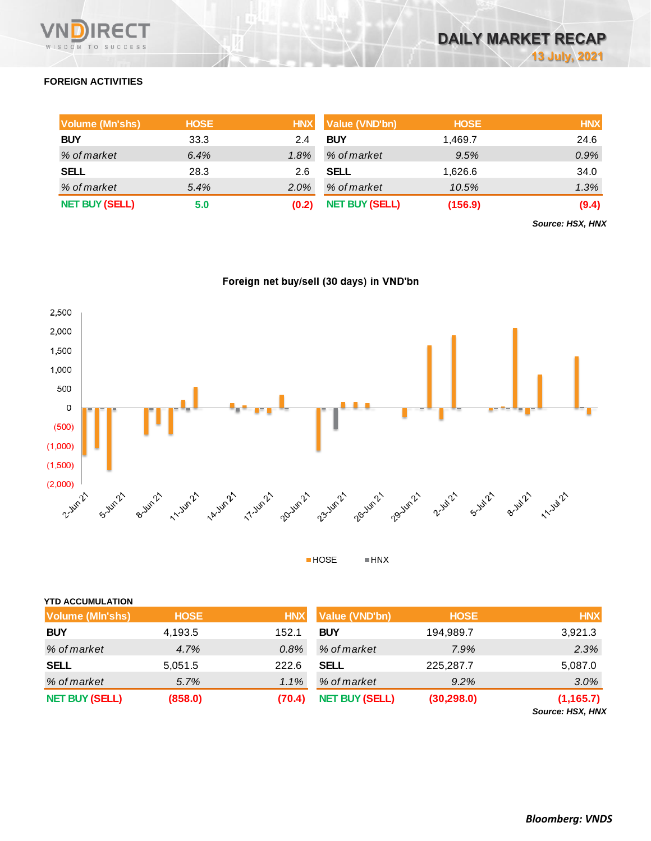

### **FOREIGN ACTIVITIES**

| Volume (Mn'shs)       | <b>HOSE</b> | <b>HNX</b> | <b>Value (VND'bn)</b> | <b>HOSE</b> | <b>HNX</b> |
|-----------------------|-------------|------------|-----------------------|-------------|------------|
| <b>BUY</b>            | 33.3        | 2.4        | <b>BUY</b>            | 1.469.7     | 24.6       |
| % of market           | 6.4%        | $1.8\%$    | % of market           | 9.5%        | 0.9%       |
| <b>SELL</b>           | 28.3        | 2.6        | SELL                  | 1,626.6     | 34.0       |
| % of market           | 5.4%        | 2.0%       | % of market           | 10.5%       | 1.3%       |
| <b>NET BUY (SELL)</b> | 5.0         |            | <b>NET BUY (SELL)</b> | (156.9)     | (9.4)      |

*Source: HSX, HNX*





 $HOSE$  $\blacksquare$  HNX

| <b>YTD ACCUMULATION</b> |             |            |                       |             |                                |
|-------------------------|-------------|------------|-----------------------|-------------|--------------------------------|
| <b>Volume (MIn'shs)</b> | <b>HOSE</b> | <b>HNX</b> | <b>Value (VND'bn)</b> | <b>HOSE</b> | <b>HNX</b>                     |
| <b>BUY</b>              | 4,193.5     | 152.1      | <b>BUY</b>            | 194,989.7   | 3,921.3                        |
| % of market             | 4.7%        | 0.8%       | % of market           | 7.9%        | 2.3%                           |
| <b>SELL</b>             | 5,051.5     | 222.6      | <b>SELL</b>           | 225,287.7   | 5,087.0                        |
| % of market             | 5.7%        | 1.1%       | % of market           | 9.2%        | 3.0%                           |
| <b>NET BUY (SELL)</b>   | (858.0)     | (70.4)     | <b>NET BUY (SELL)</b> | (30, 298.0) | (1, 165.7)<br>Source: HSX, HNX |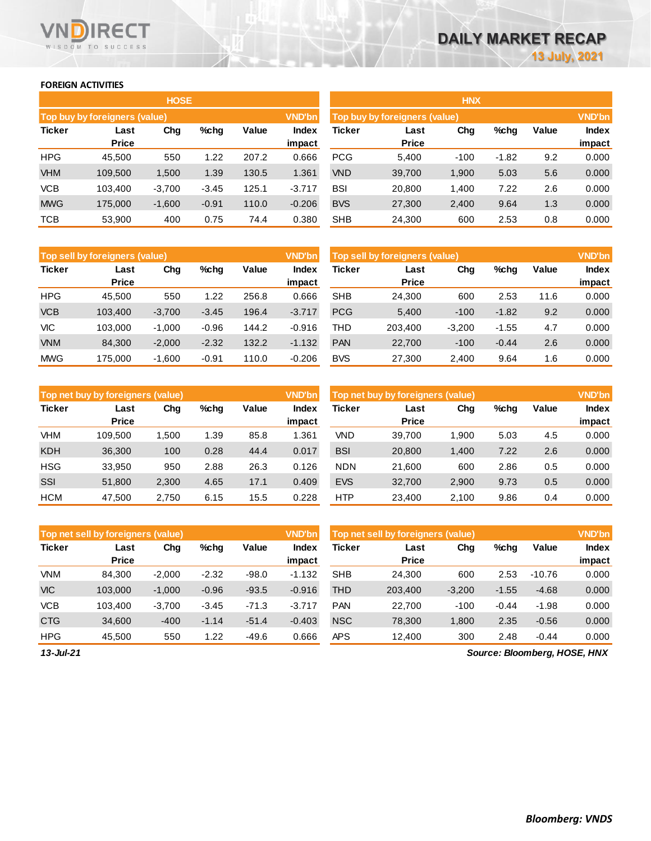### **FOREIGN ACTIVITIES**

**VNDIRECT** WISDOM TO SUCCESS

|               |                                      | <b>HOSE</b> |         |       |               |            |                               | <b>HNX</b> |         |       |               |
|---------------|--------------------------------------|-------------|---------|-------|---------------|------------|-------------------------------|------------|---------|-------|---------------|
|               | <b>Top buy by foreigners (value)</b> |             |         |       | <b>VND'bn</b> |            | Top buy by foreigners (value) |            |         |       | <b>VND'bn</b> |
| <b>Ticker</b> | Last                                 | Chg         | $%$ chg | Value | <b>Index</b>  | Ticker     | Last                          | Chg        | %chg    | Value | <b>Index</b>  |
|               | <b>Price</b>                         |             |         |       | impact        |            | <b>Price</b>                  |            |         |       | impact        |
| <b>HPG</b>    | 45,500                               | 550         | 1.22    | 207.2 | 0.666         | <b>PCG</b> | 5,400                         | $-100$     | $-1.82$ | 9.2   | 0.000         |
| <b>VHM</b>    | 109,500                              | 1,500       | 1.39    | 130.5 | 1.361         | <b>VND</b> | 39,700                        | 1,900      | 5.03    | 5.6   | 0.000         |
| <b>VCB</b>    | 103,400                              | $-3,700$    | $-3.45$ | 125.1 | $-3.717$      | <b>BSI</b> | 20,800                        | 1,400      | 7.22    | 2.6   | 0.000         |
| <b>MWG</b>    | 175,000                              | $-1,600$    | $-0.91$ | 110.0 | $-0.206$      | <b>BVS</b> | 27,300                        | 2,400      | 9.64    | 1.3   | 0.000         |
| <b>TCB</b>    | 53,900                               | 400         | 0.75    | 74.4  | 0.380         | <b>SHB</b> | 24,300                        | 600        | 2.53    | 0.8   | 0.000         |

|               | Top sell by foreigners (value) |          |         |       | <b>VND'bn</b> |            | <b>Top sell by foreigners (value)</b> |          |         |       | <b>VND'bn</b> |
|---------------|--------------------------------|----------|---------|-------|---------------|------------|---------------------------------------|----------|---------|-------|---------------|
| <b>Ticker</b> | Last                           | Chg      | %chg    | Value | <b>Index</b>  | Ticker     | Last                                  | Chg      | %chg    | Value | <b>Index</b>  |
|               | <b>Price</b>                   |          |         |       | impact        |            | <b>Price</b>                          |          |         |       | impact        |
| <b>HPG</b>    | 45.500                         | 550      | 1.22    | 256.8 | 0.666         | <b>SHB</b> | 24.300                                | 600      | 2.53    | 11.6  | 0.000         |
| <b>VCB</b>    | 103.400                        | $-3.700$ | $-3.45$ | 196.4 | $-3.717$      | <b>PCG</b> | 5,400                                 | $-100$   | $-1.82$ | 9.2   | 0.000         |
| VIC           | 103.000                        | $-1.000$ | $-0.96$ | 144.2 | $-0.916$      | THD        | 203.400                               | $-3,200$ | $-1.55$ | 4.7   | 0.000         |
| <b>VNM</b>    | 84.300                         | $-2.000$ | $-2.32$ | 132.2 | $-1.132$      | <b>PAN</b> | 22,700                                | $-100$   | $-0.44$ | 2.6   | 0.000         |
| <b>MWG</b>    | 175.000                        | $-1.600$ | $-0.91$ | 110.0 | $-0.206$      | <b>BVS</b> | 27.300                                | 2,400    | 9.64    | 1.6   | 0.000         |

|               | Top net buy by foreigners (value) |       |         |       | <b>VND'bn</b> |            | Top net buy by foreigners (value) |       |      |       | <b>VND'bn</b> |
|---------------|-----------------------------------|-------|---------|-------|---------------|------------|-----------------------------------|-------|------|-------|---------------|
| <b>Ticker</b> | Last                              | Chg   | $%$ chg | Value | Index         | Ticker     | Last                              | Chg   | %chg | Value | Index         |
|               | <b>Price</b>                      |       |         |       | impact        |            | <b>Price</b>                      |       |      |       | impact        |
| VHM           | 109.500                           | .500  | 1.39    | 85.8  | 1.361         | VND        | 39.700                            | 1,900 | 5.03 | 4.5   | 0.000         |
| <b>KDH</b>    | 36,300                            | 100   | 0.28    | 44.4  | 0.017         | <b>BSI</b> | 20,800                            | 1,400 | 7.22 | 2.6   | 0.000         |
| <b>HSG</b>    | 33.950                            | 950   | 2.88    | 26.3  | 0.126         | <b>NDN</b> | 21,600                            | 600   | 2.86 | 0.5   | 0.000         |
| <b>SSI</b>    | 51,800                            | 2,300 | 4.65    | 17.1  | 0.409         | <b>EVS</b> | 32,700                            | 2,900 | 9.73 | 0.5   | 0.000         |
| <b>HCM</b>    | 47.500                            | 2.750 | 6.15    | 15.5  | 0.228         | <b>HTP</b> | 23.400                            | 2.100 | 9.86 | 0.4   | 0.000         |

|               | Top net sell by foreigners (value) |          |         |         | <b>VND'bn</b> |            | Top net sell by foreigners (value) |          |         |                            | <b>VND'bn</b> |
|---------------|------------------------------------|----------|---------|---------|---------------|------------|------------------------------------|----------|---------|----------------------------|---------------|
| <b>Ticker</b> | Last                               | Chg      | $%$ chg | Value   | Index         | Ticker     | Last                               | Chg      | %chg    | Value                      | Index         |
|               | <b>Price</b>                       |          |         |         | impact        |            | <b>Price</b>                       |          |         |                            | impact        |
| <b>VNM</b>    | 84,300                             | $-2,000$ | $-2.32$ | $-98.0$ | $-1.132$      | <b>SHB</b> | 24,300                             | 600      | 2.53    | $-10.76$                   | 0.000         |
| <b>VIC</b>    | 103,000                            | $-1,000$ | $-0.96$ | $-93.5$ | $-0.916$      | THD        | 203,400                            | $-3,200$ | $-1.55$ | $-4.68$                    | 0.000         |
| <b>VCB</b>    | 103.400                            | $-3,700$ | $-3.45$ | $-71.3$ | $-3.717$      | <b>PAN</b> | 22.700                             | $-100$   | $-0.44$ | $-1.98$                    | 0.000         |
| <b>CTG</b>    | 34,600                             | $-400$   | $-1.14$ | $-51.4$ | $-0.403$      | <b>NSC</b> | 78,300                             | 1,800    | 2.35    | $-0.56$                    | 0.000         |
| <b>HPG</b>    | 45,500                             | 550      | 1.22    | $-49.6$ | 0.666         | <b>APS</b> | 12,400                             | 300      | 2.48    | $-0.44$                    | 0.000         |
| $42$ $1.124$  |                                    |          |         |         |               |            |                                    |          |         | Course Dloamborn UOCE UNIV |               |

*13-Jul-21*

 $\mathcal{L}_{\mathcal{L}}$ 

*Source: Bloomberg, HOSE, HNX*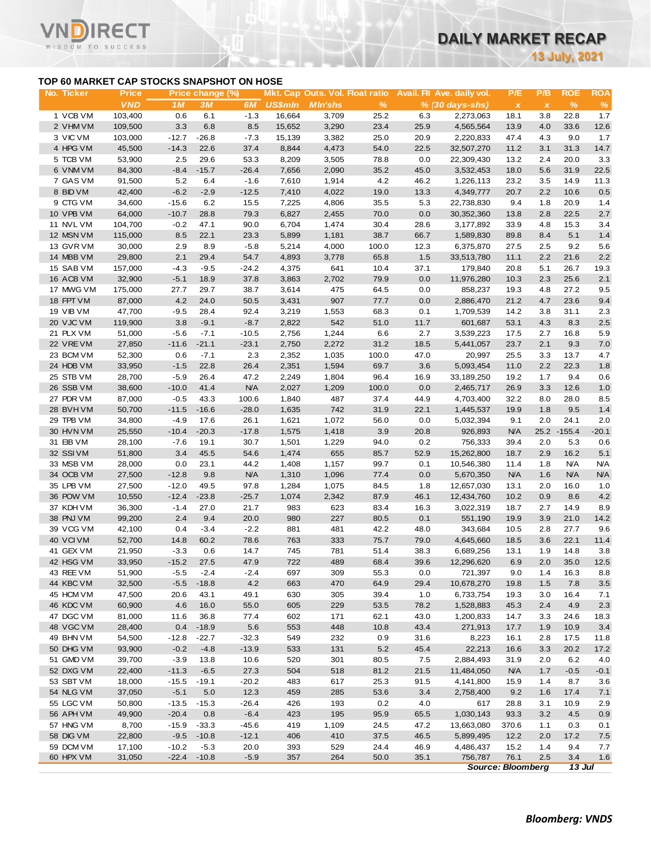**13 July, 2021**

### **TOP 60 MARKET CAP STOCKS SNAPSHOT ON HOSE**

ד־

|                                           |                  |                   |                  |                    |                |                                 |               |              |                            |               |              | <b>13 July, 2021</b> |            |
|-------------------------------------------|------------------|-------------------|------------------|--------------------|----------------|---------------------------------|---------------|--------------|----------------------------|---------------|--------------|----------------------|------------|
| TOP 60 MARKET CAP STOCKS SNAPSHOT ON HOSE |                  |                   |                  |                    |                |                                 |               |              |                            |               |              |                      |            |
| No. Ticker                                | <b>Price</b>     |                   | Price change (%) |                    |                | Mkt. Cap Outs. Vol. Float ratio |               |              | Avail. Fil Ave. daily vol. | P/E           | P/B          | <b>ROE</b>           | <b>ROA</b> |
|                                           | <b>VND</b>       | 1M                | <b>3M</b>        | 6M                 | <b>US\$mln</b> | <b>MIn'shs</b>                  | $\%$          |              | % (30 days-shs)            | $\pmb{\chi}$  | $\pmb{\chi}$ | $\%$                 | $\%$       |
| 1 VCB VM                                  | 103,400          | 0.6               | 6.1              | $-1.3$             | 16,664         | 3,709                           | 25.2          | 6.3          | 2,273,063                  | 18.1          | 3.8          | 22.8                 | 1.7        |
| 2 VHM VM                                  | 109,500          | 3.3               | 6.8              | 8.5                | 15,652         | 3,290                           | 23.4          | 25.9         | 4,565,564                  | 13.9          | 4.0          | 33.6                 | 12.6       |
| 3 VIC VM                                  | 103,000          | $-12.7$           | $-26.8$          | $-7.3$             | 15,139         | 3,382                           | 25.0          | 20.9         | 2,220,833                  | 47.4          | 4.3          | 9.0                  | 1.7        |
| 4 HPG VM                                  | 45,500           | $-14.3$           | 22.6             | 37.4               | 8,844          | 4,473                           | 54.0          | 22.5         | 32,507,270                 | 11.2          | 3.1          | 31.3                 | 14.7       |
| 5 TCB VM                                  | 53,900           | 2.5               | 29.6             | 53.3               | 8,209          | 3,505                           | 78.8          | 0.0          | 22,309,430                 | 13.2          | 2.4          | 20.0                 | 3.3        |
| 6 VNM VM                                  | 84,300           | $-8.4$            | $-15.7$          | $-26.4$            | 7,656          | 2,090                           | 35.2          | 45.0         | 3,532,453                  | 18.0          | 5.6          | 31.9                 | 22.5       |
| 7 GAS VM                                  | 91,500           | 5.2               | 6.4              | $-1.6$             | 7,610          | 1,914                           | 4.2           | 46.2         | 1,226,113                  | 23.2          | 3.5          | 14.9                 | 11.3       |
| 8 BID VM                                  | 42,400           | $-6.2$            | $-2.9$           | $-12.5$            | 7,410          | 4,022                           | 19.0          | 13.3         | 4,349,777                  | 20.7          | 2.2          | 10.6                 | 0.5        |
| 9 CTG VM                                  | 34,600           | $-15.6$           | 6.2              | 15.5               | 7,225          | 4,806                           | 35.5          | 5.3          | 22,738,830                 | 9.4           | 1.8          | 20.9                 | 1.4        |
| 10 VPB VM<br>11 NVL VM                    | 64,000           | $-10.7$           | 28.8             | 79.3               | 6,827          | 2,455                           | 70.0          | 0.0          | 30,352,360                 | 13.8          | 2.8          | 22.5                 | 2.7        |
|                                           | 104,700          | $-0.2$            | 47.1<br>22.1     | 90.0               | 6,704          | 1,474                           | 30.4          | 28.6         | 3,177,892                  | 33.9          | 4.8          | 15.3                 | 3.4        |
| 12 MSN VM                                 | 115,000          | 8.5               |                  | 23.3               | 5,899          | 1,181                           | 38.7          | 66.7         | 1,589,830                  | 89.8          | 8.4          | 5.1<br>9.2           | 1.4        |
| 13 GVR VM<br>14 MBB VM                    | 30,000           | 2.9<br>2.1        | 8.9<br>29.4      | $-5.8$<br>54.7     | 5,214          | 4,000                           | 100.0<br>65.8 | 12.3         | 6,375,870                  | 27.5          | 2.5<br>2.2   | 21.6                 | 5.6        |
|                                           | 29,800           | $-4.3$            |                  |                    | 4,893          | 3,778                           |               | 1.5          | 33,513,780                 | 11.1          |              | 26.7                 | 2.2        |
| 15 SAB VM                                 | 157,000          |                   | $-9.5$           | $-24.2$            | 4,375          | 641                             | 10.4          | 37.1         | 179,840                    | 20.8          | 5.1          |                      | 19.3       |
| 16 ACB VM                                 | 32,900           | $-5.1$            | 18.9             | 37.8               | 3,863          | 2,702                           | 79.9          | 0.0          | 11,976,280                 | 10.3          | 2.3          | 25.6                 | 2.1        |
| 17 MWG VM                                 | 175,000          | 27.7<br>4.2       | 29.7             | 38.7               | 3,614          | 475<br>907                      | 64.5          | 0.0<br>0.0   | 858,237                    | 19.3          | 4.8<br>4.7   | 27.2<br>23.6         | 9.5        |
| 18 FPT VM                                 | 87,000           |                   | 24.0             | 50.5               | 3,431          |                                 | 77.7          |              | 2,886,470                  | 21.2          |              |                      | 9.4        |
| <b>19 VIB VM</b>                          | 47,700           | $-9.5$            | 28.4             | 92.4               | 3,219          | 1,553                           | 68.3          | 0.1          | 1,709,539                  | 14.2          | 3.8          | 31.1                 | 2.3        |
| 20 VJC VM                                 | 119,900          | 3.8               | $-9.1$           | $-8.7$             | 2,822          | 542                             | 51.0          | 11.7         | 601,687                    | 53.1          | 4.3          | 8.3                  | 2.5        |
| 21 PLX VM                                 | 51,000           | $-5.6$            | $-7.1$           | $-10.5$            | 2,756          | 1,244                           | 6.6           | 2.7          | 3,539,223                  | 17.5          | 2.7          | 16.8                 | 5.9        |
| 22 VREVM<br>23 BCM VM                     | 27,850           | $-11.6$           | $-21.1$          | $-23.1$            | 2,750          | 2,272                           | 31.2          | 18.5         | 5,441,057                  | 23.7          | 2.1          | 9.3<br>13.7          | 7.0        |
|                                           | 52,300           | 0.6<br>$-1.5$     | $-7.1$           | 2.3                | 2,352          | 1,035                           | 100.0         | 47.0         | 20,997                     | 25.5          | 3.3<br>2.2   | 22.3                 | 4.7        |
| 24 HDB VM                                 | 33,950           |                   | 22.8             | 26.4               | 2,351          | 1,594                           | 69.7          | 3.6          | 5,093,454                  | 11.0          |              |                      | 1.8        |
| 25 STB VM                                 | 28,700           | $-5.9$            | 26.4             | 47.2<br><b>N/A</b> | 2,249          | 1,804                           | 96.4          | 16.9         | 33,189,250                 | 19.2          | 1.7<br>3.3   | 9.4<br>12.6          | 0.6        |
| 26 SSB VM<br>27 PDR VM                    | 38,600           | $-10.0$           | 41.4             |                    | 2,027          | 1,209                           | 100.0         | 0.0          | 2,465,717                  | 26.9          |              |                      | 1.0        |
| 28 BVHVM                                  | 87,000<br>50,700 | $-0.5$<br>$-11.5$ | 43.3<br>$-16.6$  | 100.6<br>$-28.0$   | 1,840<br>1,635 | 487<br>742                      | 37.4<br>31.9  | 44.9<br>22.1 | 4,703,400<br>1,445,537     | 32.2<br>19.9  | 8.0<br>1.8   | 28.0<br>9.5          | 8.5<br>1.4 |
| 29 TPB VM                                 | 34,800           | $-4.9$            | 17.6             | 26.1               | 1,621          | 1,072                           | 56.0          | 0.0          | 5,032,394                  | 9.1           | 2.0          | 24.1                 | 2.0        |
| 30 HVN VM                                 | 25,550           | $-10.4$           | $-20.3$          | $-17.8$            | 1,575          | 1,418                           | 3.9           | 20.8         | 926,893                    | <b>N/A</b>    |              | 25.2 - 155.4         | $-20.1$    |
| 31 EIB VM                                 | 28,100           | $-7.6$            | 19.1             | 30.7               | 1,501          | 1,229                           | 94.0          | 0.2          | 756,333                    | 39.4          | 2.0          | 5.3                  | 0.6        |
| 32 SSIVM                                  | 51,800           | 3.4               | 45.5             | 54.6               | 1,474          | 655                             | 85.7          | 52.9         | 15,262,800                 | 18.7          | 2.9          | 16.2                 | 5.1        |
| 33 MSB VM                                 | 28,000           | 0.0               | 23.1             | 44.2               | 1,408          | 1,157                           | 99.7          | 0.1          | 10,546,380                 | 11.4          | 1.8          | <b>N/A</b>           | <b>N/A</b> |
| 34 OCB VM                                 | 27,500           | $-12.8$           | 9.8              | <b>N/A</b>         | 1,310          | 1,096                           | 77.4          | 0.0          | 5,670,350                  | <b>N/A</b>    | 1.6          | <b>N/A</b>           | <b>N/A</b> |
| 35 LPB VM                                 | 27,500           | $-12.0$           | 49.5             | 97.8               | 1,284          | 1,075                           | 84.5          | 1.8          | 12,657,030                 | 13.1          | 2.0          | 16.0                 | 1.0        |
| 36 POW VM                                 | 10,550           | $-12.4$           | $-23.8$          | $-25.7$            | 1,074          | 2,342                           | 87.9          | 46.1         | 12,434,760                 | 10.2          | 0.9          | 8.6                  | 4.2        |
| 37 KDH VM                                 | 36,300           | $-1.4$            | 27.0             | 21.7               | 983            | 623                             | 83.4          | 16.3         | 3,022,319                  | 18.7          | 2.7          | 14.9                 | 8.9        |
| 38 PNJ VM                                 | 99,200           | 2.4               | 9.4              | 20.0               | 980            | 227                             | 80.5          | 0.1          | 551,190                    | 19.9          | 3.9          | 21.0                 | 14.2       |
| 39 VCG VM                                 | 42,100           | 0.4               | $-3.4$           | $-2.2$             | 881            | 481                             | 42.2          | 48.0         | 343,684                    | 10.5          | 2.8          | 27.7                 | 9.6        |
| 40 VCIVM                                  | 52,700           | 14.8              | 60.2             | 78.6               | 763            | 333                             | 75.7          | 79.0         | 4,645,660                  | 18.5          | 3.6          | 22.1                 | 11.4       |
| 41 GEX VM                                 | 21,950           | $-3.3$            | 0.6              | 14.7               | 745            | 781                             | 51.4          | 38.3         | 6,689,256                  | 13.1          | 1.9          | 14.8                 | 3.8        |
| 42 HSG VM                                 | 33,950           | $-15.2$           | 27.5             | 47.9               | 722            | 489                             | 68.4          | 39.6         | 12,296,620                 | 6.9           | 2.0          | 35.0                 | 12.5       |
| 43 REE VM                                 | 51,900           | $-5.5$            | $-2.4$           | $-2.4$             | 697            | 309                             | 55.3          | 0.0          | 721,397                    | 9.0           | 1.4          | 16.3                 | 8.8        |
| 44 KBC VM                                 | 32,500           | $-5.5$            | $-18.8$          | 4.2                | 663            | 470                             | 64.9          | 29.4         | 10,678,270                 | 19.8          | 1.5          | 7.8                  | 3.5        |
| 45 HCM VM                                 | 47,500           | 20.6              | 43.1             | 49.1               | 630            | 305                             | 39.4          | 1.0          | 6,733,754                  | 19.3          | 3.0          | 16.4                 | 7.1        |
| 46 KDC VM                                 | 60,900           | 4.6               | 16.0             | 55.0               | 605            | 229                             | 53.5          | 78.2         | 1,528,883                  | 45.3          | 2.4          | 4.9                  | $2.3\,$    |
| 47 DGC VM                                 | 81,000           | 11.6              | 36.8             | 77.4               | 602            | 171                             | 62.1          | 43.0         | 1,200,833                  | 14.7          | 3.3          | 24.6                 | 18.3       |
| 48 VGC VM                                 | 28,400           | 0.4               | $-18.9$          | 5.6                | 553            | 448                             | 10.8          | 43.4         | 271,913                    | 17.7          | 1.9          | 10.9                 | 3.4        |
| 49 BHN VM                                 | 54,500           | $-12.8$           | $-22.7$          | $-32.3$            | 549            | 232                             | 0.9           | 31.6         | 8,223                      | 16.1          | 2.8          | 17.5                 | 11.8       |
| 50 DHG VM                                 | 93,900           | $-0.2$            | $-4.8$           | $-13.9$            | 533            | 131                             | 5.2           | 45.4         | 22,213                     | 16.6          | 3.3          | 20.2                 | 17.2       |
| 51 GMD VM                                 | 39,700           | $-3.9$            | 13.8             | 10.6               | 520            | 301                             | 80.5          | 7.5          | 2,884,493                  | 31.9          | 2.0          | 6.2                  | 4.0        |
| 52 DXG VM                                 | 22,400           | $-11.3$           | $-6.5$           | 27.3               | 504            | 518                             | 81.2          | 21.5         | 11,484,050                 | <b>N/A</b>    | 1.7          | $-0.5$               | $-0.1$     |
| 53 SBT VM                                 | 18,000           | $-15.5$           | $-19.1$          | $-20.2$            | 483            | 617                             | 25.3          | 91.5         | 4,141,800                  | 15.9          | 1.4          | 8.7                  | 3.6        |
| 54 NLG VM                                 | 37,050           | $-5.1$            | 5.0              | 12.3               | 459            | 285                             | 53.6          | 3.4          | 2,758,400                  | 9.2           | 1.6          | 17.4                 | 7.1        |
| 55 LGC VM                                 | 50,800           | $-13.5$           | $-15.3$          | $-26.4$            | 426            | 193                             | 0.2           | 4.0          | 617                        | 28.8          | 3.1          | 10.9                 | 2.9        |
| 56 APH VM                                 |                  | $-20.4$           |                  | $-6.4$             | 423            | 195                             |               |              |                            |               |              |                      |            |
| 57 HNG VM                                 | 49,900<br>8,700  | $-15.9$           | 0.8<br>$-33.3$   |                    | 419            |                                 | 95.9          | 65.5         | 1,030,143                  | 93.3          | 3.2          | 4.5<br>0.3           | 0.9        |
|                                           |                  | $-9.5$            | $-10.8$          | $-45.6$<br>$-12.1$ | 406            | 1,109<br>410                    | 24.5<br>37.5  | 47.2<br>46.5 | 13,663,080<br>5,899,495    | 370.6<br>12.2 | 1.1<br>2.0   | 17.2                 | 0.1<br>7.5 |
|                                           |                  |                   |                  |                    |                |                                 |               |              |                            |               |              |                      |            |
| 58 DIG VM<br>59 DCM VM                    | 22,800<br>17,100 | $-10.2$           | $-5.3$           | 20.0               | 393            | 529                             | 24.4          | 46.9         | 4,486,437                  | 15.2          | 1.4          | 9.4                  | 7.7        |